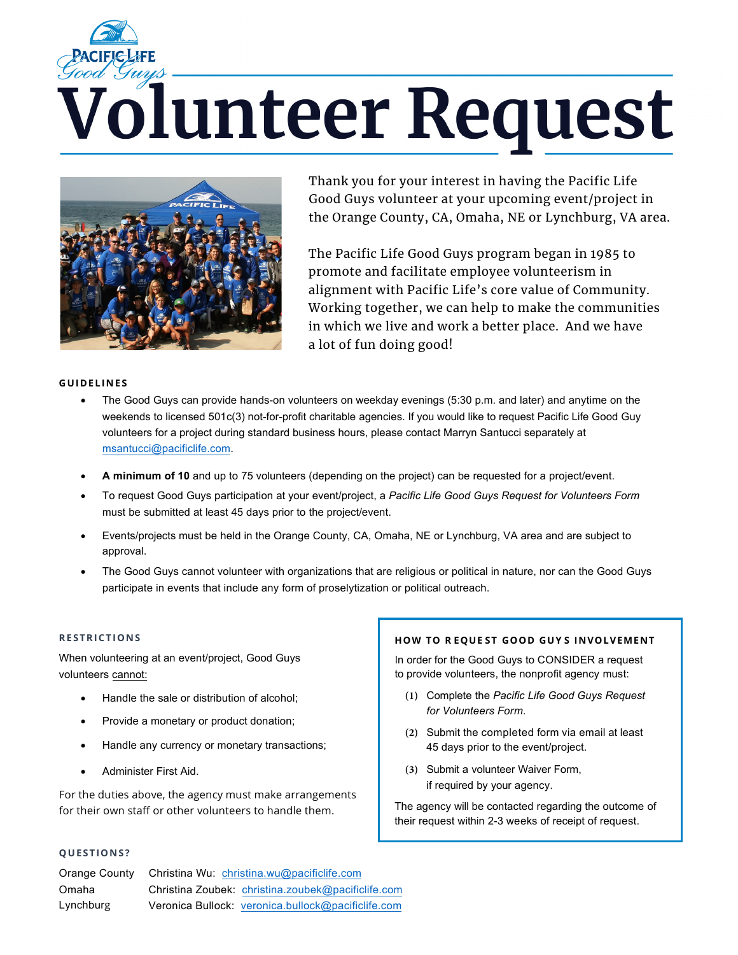# *Volunteer Request*



Thank you for your interest in having the Pacific Life Good Guys volunteer at your upcoming event/project in the Orange County, CA, Omaha, NE or Lynchburg, VA area.

The Pacific Life Good Guys program began in 1985 to promote and facilitate employee volunteerism in alignment with Pacific Life's core value of Community. Working together, we can help to make the communities in which we live and work a better place. And we have a lot of fun doing good!

### **GUIDELINES**

- The Good Guys can provide hands-on volunteers on weekday evenings (5:30 p.m. and later) and anytime on the weekends to licensed 501c(3) not-for-profit charitable agencies. If you would like to request Pacific Life Good Guy volunteers for a project during standard business hours, please contact Marryn Santucci separately at msantucci@pacificlife.com.
- **A minimum of 10** and up to 75 volunteers (depending on the project) can be requested for a project/event.
- To request Good Guys participation at your event/project, a *Pacific Life Good Guys Request for Volunteers Form*  must be submitted at least 45 days prior to the project/event.
- Events/projects must be held in the Orange County, CA, Omaha, NE or Lynchburg, VA area and are subject to approval.
- The Good Guys cannot volunteer with organizations that are religious or political in nature, nor can the Good Guys participate in events that include any form of proselytization or political outreach.

## **RESTRICTIONS**

When volunteering at an event/project, Good Guys volunteers cannot:

- Handle the sale or distribution of alcohol;
- Provide a monetary or product donation;
- Handle any currency or monetary transactions;
- Administer First Aid.

For the duties above, the agency must make arrangements for their own staff or other volunteers to handle them.

### **QUESTIONS?**

| Orange County | Christina Wu: christina.wu@pacificlife.com         |
|---------------|----------------------------------------------------|
| Omaha         | Christina Zoubek: christina.zoubek@pacificlife.com |
| Lynchburg     | Veronica Bullock: veronica.bullock@pacificlife.com |

### **HOW TO R EQUE ST GOOD GUY S INVOLVEMENT**

In order for the Good Guys to CONSIDER a request to provide volunteers, the nonprofit agency must:

- **(1)** Complete the *Pacific Life Good Guys Request for Volunteers Form.*
- **(2)** Submit the completed form via email at least 45 days prior to the event/project.
- **(3)** Submit a volunteer Waiver Form, if required by your agency.

The agency will be contacted regarding the outcome of their request within 2-3 weeks of receipt of request.